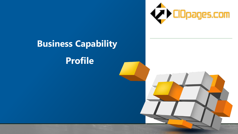

# **Business Capability Profile**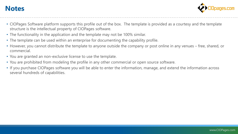#### **Notes**



- CIOPages Software platform supports this profile out of the box. The template is provided as a courtesy and the template structure is the intellectual property of CIOPages software.
- The functionality in the application and the template may not be 100% similar.
- The template can be used within an enterprise for documenting the capability profile.
- However, you cannot distribute the template to anyone outside the company or post online in any venues free, shared, or commercial.
- You are granted an non-exclusive license to use the template.
- You are prohibited from modeling the profile in any other commercial or open source software.
- If you purchase CIOPages software you will be able to enter the information, manage, and extend the information across several hundreds of capabilities.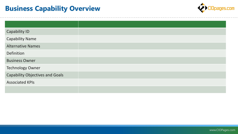### **Business Capability Overview**



| <b>Capability ID</b>                   |
|----------------------------------------|
| <b>Capability Name</b>                 |
| <b>Alternative Names</b>               |
| Definition                             |
| <b>Business Owner</b>                  |
| <b>Technology Owner</b>                |
| <b>Capability Objectives and Goals</b> |
| <b>Associated KPIs</b>                 |
|                                        |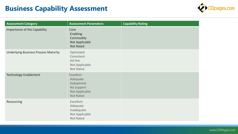### **Business Capability Assessment**



| <b>Assessment Category</b>                  | <b>Assessment Parameters</b>                                                                   | <b>Capability Rating</b> |
|---------------------------------------------|------------------------------------------------------------------------------------------------|--------------------------|
| Importance of the Capability                | Core<br>Enabling<br>Commodity<br>Not Applicable<br><b>Not Rated</b>                            |                          |
| <b>Underlying Business Process Maturity</b> | Optimized<br>Consistent<br>Ad Hoc<br>Not Applicable<br><b>Not Rated</b>                        |                          |
| <b>Technology Enablement</b>                | <b>Excellent</b><br>Adequate<br>Suboptimal<br>No Support<br>Not Applicable<br><b>Not Rated</b> |                          |
| Resourcing                                  | Excellent<br>Adequate<br>Inadequate<br>Not Applicable<br><b>Not Rated</b>                      |                          |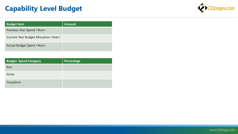## **Capability Level Budget**



| <b>Budget Item</b>                           | <b>Amount</b> |
|----------------------------------------------|---------------|
| <b>Previous Year Spend <year></year></b>     |               |
| Current Year Budget Allocation <year></year> |               |
| <b>Actual Budget Spent <year></year></b>     |               |

| <b>Budget Spend Category</b> | Percentage |
|------------------------------|------------|
| Run                          |            |
| Grow                         |            |
| Transform                    |            |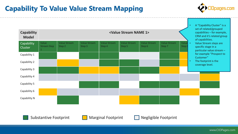### **Capability To Value Value Stream Mapping**





Substantive Footprint **Marginal Footprint** Negligible Footprint

www.CIOPages.com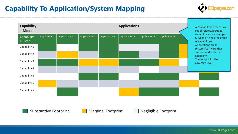## **Capability To Application/System Mapping**



| <b>Capability</b><br><b>Model</b> |                      |                      |                      |                      | <b>Applications</b>  |                      |                      |     |                                  | A "Capability Cluster" is a<br>set of related/grouped                         |
|-----------------------------------|----------------------|----------------------|----------------------|----------------------|----------------------|----------------------|----------------------|-----|----------------------------------|-------------------------------------------------------------------------------|
| Capability<br>Cluster             | <b>Application 1</b> | <b>Application 2</b> | <b>Application 3</b> | <b>Application 4</b> | <b>Application 5</b> | <b>Application 7</b> | <b>Application 8</b> | Ap, |                                  | capabilities - for example,<br>CRM and it's related group<br>of capabilities. |
| Capability 1                      |                      |                      |                      |                      |                      |                      |                      |     | Applications are IT<br>$\bullet$ | systems/software that                                                         |
| Capability 2                      |                      |                      |                      |                      |                      |                      |                      |     |                                  | support and realize a<br>capability.                                          |
| Capability 3                      |                      |                      |                      |                      |                      |                      |                      |     | $\bullet$                        | The footprint is the<br>coverage level.                                       |
| Capability 4                      |                      |                      |                      |                      |                      |                      |                      |     |                                  |                                                                               |
| Capability 5                      |                      |                      |                      |                      |                      |                      |                      |     |                                  |                                                                               |
| Capability 6                      |                      |                      |                      |                      |                      |                      |                      |     |                                  |                                                                               |
| Capability N                      |                      |                      |                      |                      |                      |                      |                      |     |                                  |                                                                               |
|                                   |                      |                      |                      |                      |                      |                      |                      |     |                                  |                                                                               |



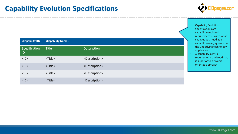#### **Capability Evolution Specifications**



- Capability Evolution Specifications are capability-anchored requirements – as to what changes you need at a capability-level, agnostic to the underlying technology application.
- A capability-centric requirements and roadmap is superior to a project oriented approach.

| <capability id=""></capability> | <capability name=""></capability> |                             |  |  |
|---------------------------------|-----------------------------------|-----------------------------|--|--|
| Specification<br>ID             | <b>Title</b>                      | Description                 |  |  |
| $<$ ID $>$                      | <title></title>                   | <description></description> |  |  |
| $<$ ID $>$                      | <title></title>                   | <description></description> |  |  |
| $<$ ID $>$                      | <title></title>                   | <description></description> |  |  |
| $<$ ID $>$                      | <title></title>                   | <description></description> |  |  |